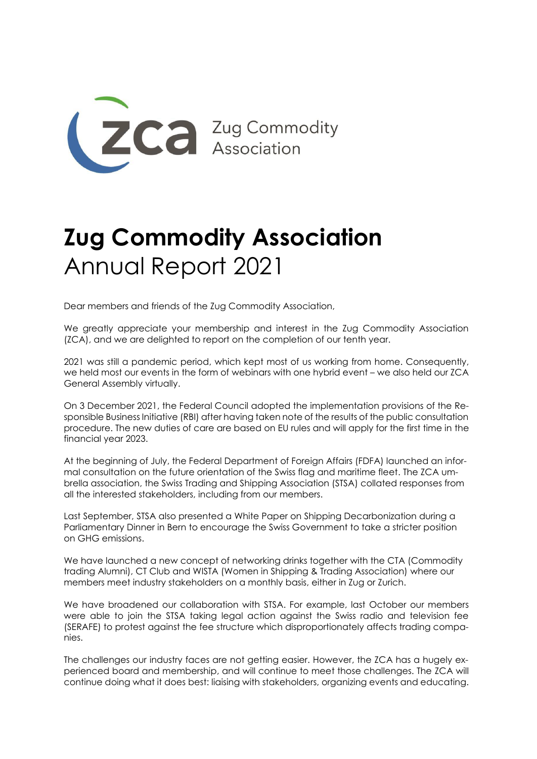

# **Zug Commodity Association** Annual Report 2021

Dear members and friends of the Zug Commodity Association,

We greatly appreciate your membership and interest in the Zug Commodity Association (ZCA), and we are delighted to report on the completion of our tenth year.

2021 was still a pandemic period, which kept most of us working from home. Consequently, we held most our events in the form of webinars with one hybrid event – we also held our ZCA General Assembly virtually.

On 3 December 2021, the Federal Council adopted the implementation provisions of the Responsible Business Initiative (RBI) after having taken note of the results of the public consultation procedure. The new duties of care are based on EU rules and will apply for the first time in the financial year 2023.

At the beginning of July, the Federal Department of Foreign Affairs (FDFA) launched an informal consultation on the future orientation of the Swiss flag and maritime fleet. The ZCA umbrella association, the Swiss Trading and Shipping Association (STSA) collated responses from all the interested stakeholders, including from our members.

Last September, STSA also presented a White Paper on Shipping Decarbonization during a Parliamentary Dinner in Bern to encourage the Swiss Government to take a stricter position on GHG emissions.

We have launched a new concept of networking drinks together with the CTA (Commodity trading Alumni), CT Club and WISTA (Women in Shipping & Trading Association) where our members meet industry stakeholders on a monthly basis, either in Zug or Zurich.

We have broadened our collaboration with STSA. For example, last October our members were able to join the STSA taking legal action against the Swiss radio and television fee (SERAFE) to protest against the fee structure which disproportionately affects trading companies.

The challenges our industry faces are not getting easier. However, the ZCA has a hugely experienced board and membership, and will continue to meet those challenges. The ZCA will continue doing what it does best: liaising with stakeholders, organizing events and educating.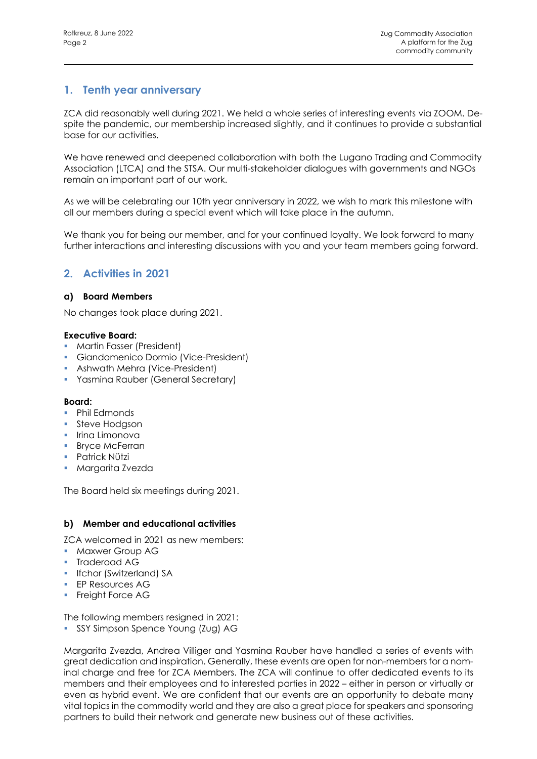# **1. Tenth year anniversary**

ZCA did reasonably well during 2021. We held a whole series of interesting events via ZOOM. Despite the pandemic, our membership increased slightly, and it continues to provide a substantial base for our activities.

We have renewed and deepened collaboration with both the Lugano Trading and Commodity Association (LTCA) and the STSA. Our multi-stakeholder dialogues with governments and NGOs remain an important part of our work.

As we will be celebrating our 10th year anniversary in 2022, we wish to mark this milestone with all our members during a special event which will take place in the autumn.

We thank you for being our member, and for your continued loyalty. We look forward to many further interactions and interesting discussions with you and your team members going forward.

# **2. Activities in 2021**

# **a) Board Members**

No changes took place during 2021.

# **Executive Board:**

- **Martin Fasser (President)**
- Giandomenico Dormio (Vice-President)
- **Ashwath Mehra (Vice-President)**
- **Yasmina Rauber (General Secretary)**

#### **Board:**

- Phil Edmonds
- **•** Steve Hodgson
- **·** Irina Limonova
- Bryce McFerran
- Patrick Nützi
- Margarita Zvezda

The Board held six meetings during 2021.

# **b) Member and educational activities**

ZCA welcomed in 2021 as new members:

- Maxwer Group AG
- Traderoad AG
- **•** Ifchor (Switzerland) SA
- **EP Resources AG**
- **•** Freight Force AG

The following members resigned in 2021:

**• SSY Simpson Spence Young (Zug) AG** 

Margarita Zvezda, Andrea Villiger and Yasmina Rauber have handled a series of events with great dedication and inspiration. Generally, these events are open for non-members for a nominal charge and free for ZCA Members. The ZCA will continue to offer dedicated events to its members and their employees and to interested parties in 2022 – either in person or virtually or even as hybrid event. We are confident that our events are an opportunity to debate many vital topics in the commodity world and they are also a great place for speakers and sponsoring partners to build their network and generate new business out of these activities.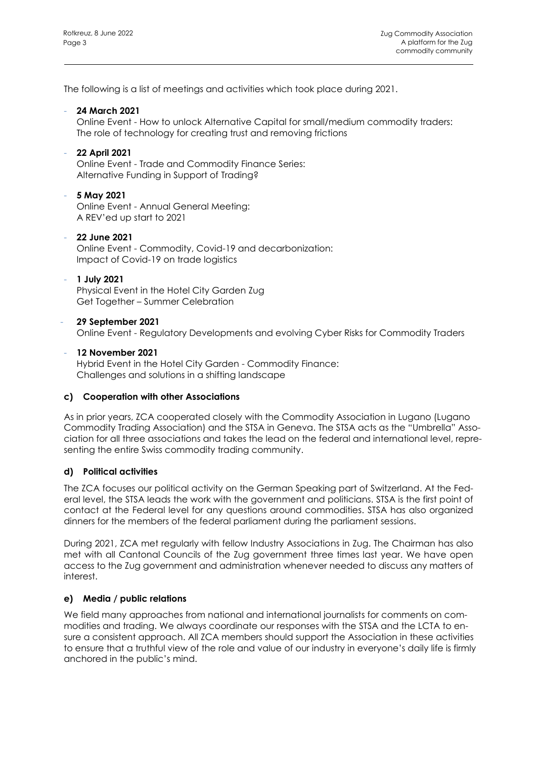The following is a list of meetings and activities which took place during 2021.

- **24 March 2021**

Online Event - How to unlock Alternative Capital for small/medium commodity traders: The role of technology for creating trust and removing frictions

# - **22 April 2021**

Online Event - Trade and Commodity Finance Series: Alternative Funding in Support of Trading?

# - **5 May 2021**

Online Event - Annual General Meeting: A REV'ed up start to 2021

# - **22 June 2021**

Online Event - Commodity, Covid-19 and decarbonization: Impact of Covid-19 on trade logistics

#### - **1 July 2021**

Physical Event in the Hotel City Garden Zug Get Together – Summer Celebration

#### - **29 September 2021**

Online Event - Regulatory Developments and evolving Cyber Risks for Commodity Traders

#### - **12 November 2021**

Hybrid Event in the Hotel City Garden - Commodity Finance: Challenges and solutions in a shifting landscape

# **c) Cooperation with other Associations**

As in prior years, ZCA cooperated closely with the Commodity Association in Lugano (Lugano Commodity Trading Association) and the STSA in Geneva. The STSA acts as the "Umbrella" Association for all three associations and takes the lead on the federal and international level, representing the entire Swiss commodity trading community.

# **d) Political activities**

The ZCA focuses our political activity on the German Speaking part of Switzerland. At the Federal level, the STSA leads the work with the government and politicians. STSA is the first point of contact at the Federal level for any questions around commodities. STSA has also organized dinners for the members of the federal parliament during the parliament sessions.

During 2021, ZCA met regularly with fellow Industry Associations in Zug. The Chairman has also met with all Cantonal Councils of the Zug government three times last year. We have open access to the Zug government and administration whenever needed to discuss any matters of interest.

# **e) Media / public relations**

We field many approaches from national and international journalists for comments on commodities and trading. We always coordinate our responses with the STSA and the LCTA to ensure a consistent approach. All ZCA members should support the Association in these activities to ensure that a truthful view of the role and value of our industry in everyone's daily life is firmly anchored in the public's mind.